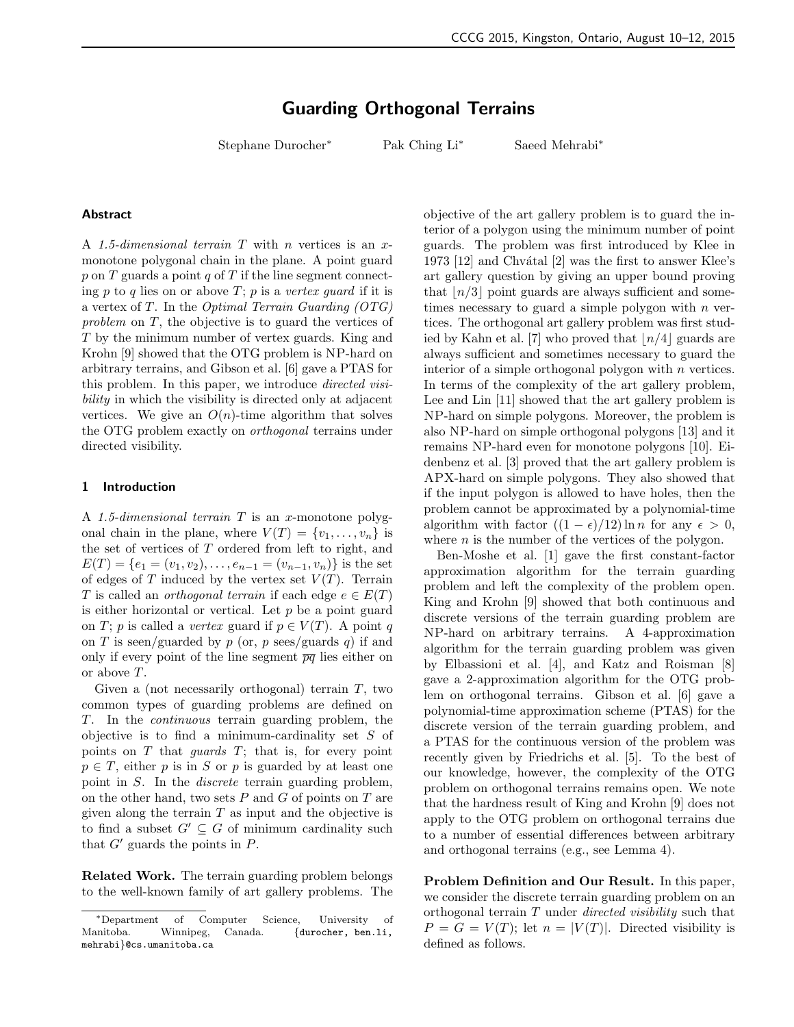# Guarding Orthogonal Terrains

Stephane Durocher<sup>∗</sup> Pak Ching Li<sup>∗</sup> Saeed Mehrabi<sup>∗</sup>

#### Abstract

A 1.5-dimensional terrain  $T$  with  $n$  vertices is an  $x$ monotone polygonal chain in the plane. A point guard  $p$  on  $T$  guards a point  $q$  of  $T$  if the line segment connecting  $p$  to  $q$  lies on or above  $T$ ;  $p$  is a vertex guard if it is a vertex of  $T$ . In the *Optimal Terrain Guarding*  $(OTG)$ problem on T, the objective is to guard the vertices of T by the minimum number of vertex guards. King and Krohn [9] showed that the OTG problem is NP-hard on arbitrary terrains, and Gibson et al. [6] gave a PTAS for this problem. In this paper, we introduce directed visibility in which the visibility is directed only at adjacent vertices. We give an  $O(n)$ -time algorithm that solves the OTG problem exactly on orthogonal terrains under directed visibility.

## 1 Introduction

A 1.5-dimensional terrain  $T$  is an x-monotone polygonal chain in the plane, where  $V(T) = \{v_1, \ldots, v_n\}$  is the set of vertices of  $T$  ordered from left to right, and  $E(T) = \{e_1 = (v_1, v_2), \ldots, e_{n-1} = (v_{n-1}, v_n)\}\$ is the set of edges of T induced by the vertex set  $V(T)$ . Terrain T is called an *orthogonal terrain* if each edge  $e \in E(T)$ is either horizontal or vertical. Let  $p$  be a point guard on T; p is called a vertex guard if  $p \in V(T)$ . A point q on T is seen/guarded by  $p$  (or,  $p$  sees/guards  $q$ ) if and only if every point of the line segment  $\overline{pq}$  lies either on or above T.

Given a (not necessarily orthogonal) terrain  $T$ , two common types of guarding problems are defined on T. In the continuous terrain guarding problem, the objective is to find a minimum-cardinality set  $S$  of points on  $T$  that *guards*  $T$ ; that is, for every point  $p \in T$ , either p is in S or p is guarded by at least one point in S. In the discrete terrain guarding problem, on the other hand, two sets  $P$  and  $G$  of points on  $T$  are given along the terrain  $T$  as input and the objective is to find a subset  $G' \subseteq G$  of minimum cardinality such that  $G'$  guards the points in  $P$ .

Related Work. The terrain guarding problem belongs to the well-known family of art gallery problems. The objective of the art gallery problem is to guard the interior of a polygon using the minimum number of point guards. The problem was first introduced by Klee in 1973  $[12]$  and Chvátal  $[2]$  was the first to answer Klee's art gallery question by giving an upper bound proving that  $\lfloor n/3 \rfloor$  point guards are always sufficient and sometimes necessary to guard a simple polygon with  $n$  vertices. The orthogonal art gallery problem was first studied by Kahn et al. [7] who proved that  $\lfloor n/4 \rfloor$  guards are always sufficient and sometimes necessary to guard the interior of a simple orthogonal polygon with  $n$  vertices. In terms of the complexity of the art gallery problem, Lee and Lin [11] showed that the art gallery problem is NP-hard on simple polygons. Moreover, the problem is also NP-hard on simple orthogonal polygons [13] and it remains NP-hard even for monotone polygons [10]. Eidenbenz et al. [3] proved that the art gallery problem is APX-hard on simple polygons. They also showed that if the input polygon is allowed to have holes, then the problem cannot be approximated by a polynomial-time algorithm with factor  $((1 - \epsilon)/12) \ln n$  for any  $\epsilon > 0$ , where  $n$  is the number of the vertices of the polygon.

Ben-Moshe et al. [1] gave the first constant-factor approximation algorithm for the terrain guarding problem and left the complexity of the problem open. King and Krohn [9] showed that both continuous and discrete versions of the terrain guarding problem are NP-hard on arbitrary terrains. A 4-approximation algorithm for the terrain guarding problem was given by Elbassioni et al. [4], and Katz and Roisman [8] gave a 2-approximation algorithm for the OTG problem on orthogonal terrains. Gibson et al. [6] gave a polynomial-time approximation scheme (PTAS) for the discrete version of the terrain guarding problem, and a PTAS for the continuous version of the problem was recently given by Friedrichs et al. [5]. To the best of our knowledge, however, the complexity of the OTG problem on orthogonal terrains remains open. We note that the hardness result of King and Krohn [9] does not apply to the OTG problem on orthogonal terrains due to a number of essential differences between arbitrary and orthogonal terrains (e.g., see Lemma 4).

Problem Definition and Our Result. In this paper, we consider the discrete terrain guarding problem on an orthogonal terrain T under directed visibility such that  $P = G = V(T)$ ; let  $n = |V(T)|$ . Directed visibility is defined as follows.

<sup>∗</sup>Department of Computer Science, University of Manitoba. Winnipeg, Canada. {durocher, ben.li, mehrabi}@cs.umanitoba.ca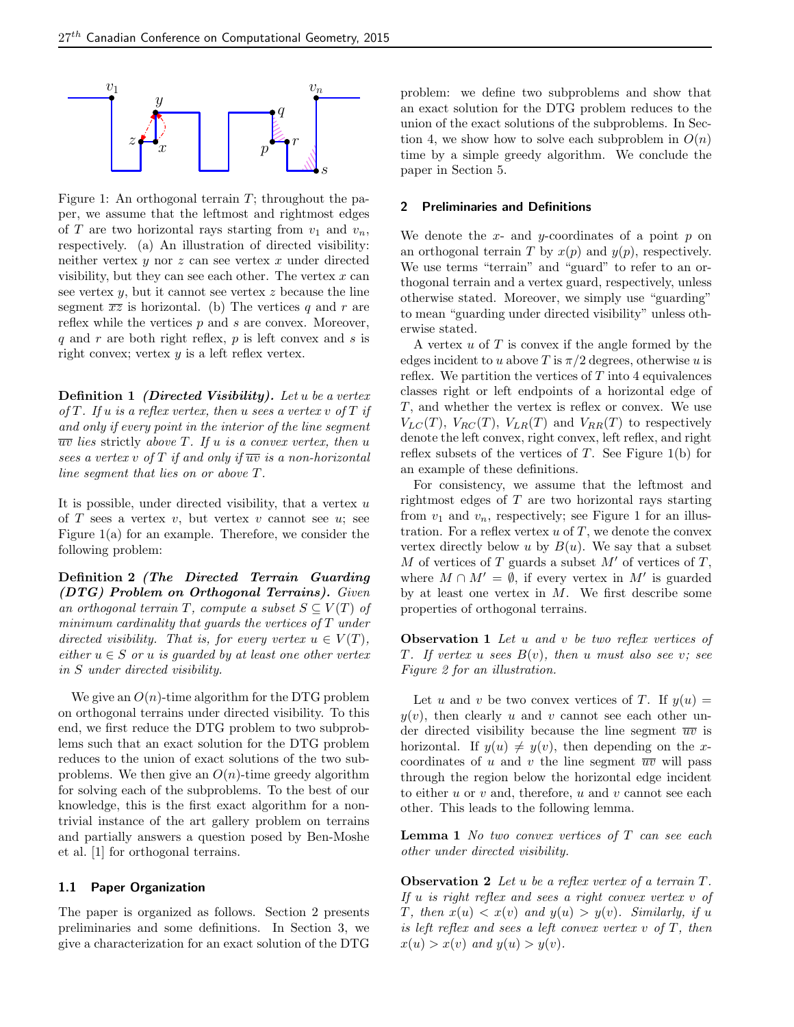

Figure 1: An orthogonal terrain  $T$ ; throughout the paper, we assume that the leftmost and rightmost edges of T are two horizontal rays starting from  $v_1$  and  $v_n$ , respectively. (a) An illustration of directed visibility: neither vertex  $y$  nor  $z$  can see vertex  $x$  under directed visibility, but they can see each other. The vertex  $x$  can see vertex  $y$ , but it cannot see vertex  $z$  because the line segment  $\overline{xz}$  is horizontal. (b) The vertices q and r are reflex while the vertices  $p$  and  $s$  are convex. Moreover, q and r are both right reflex, p is left convex and s is right convex; vertex  $y$  is a left reflex vertex.

**Definition 1** *(Directed Visibility). Let u be a vertex* of T. If u is a reflex vertex, then u sees a vertex v of  $T$  if and only if every point in the interior of the line segment  $\overline{uv}$  lies strictly above T. If u is a convex vertex, then u sees a vertex v of T if and only if  $\overline{uv}$  is a non-horizontal line segment that lies on or above T.

It is possible, under directed visibility, that a vertex  $u$ of  $T$  sees a vertex  $v$ , but vertex  $v$  cannot see  $u$ ; see Figure 1(a) for an example. Therefore, we consider the following problem:

Definition 2 (The Directed Terrain Guarding (DTG) Problem on Orthogonal Terrains). Given an orthogonal terrain T, compute a subset  $S \subseteq V(T)$  of minimum cardinality that guards the vertices of T under directed visibility. That is, for every vertex  $u \in V(T)$ , either  $u \in S$  or u is guarded by at least one other vertex in S under directed visibility.

We give an  $O(n)$ -time algorithm for the DTG problem on orthogonal terrains under directed visibility. To this end, we first reduce the DTG problem to two subproblems such that an exact solution for the DTG problem reduces to the union of exact solutions of the two subproblems. We then give an  $O(n)$ -time greedy algorithm for solving each of the subproblems. To the best of our knowledge, this is the first exact algorithm for a nontrivial instance of the art gallery problem on terrains and partially answers a question posed by Ben-Moshe et al. [1] for orthogonal terrains.

# 1.1 Paper Organization

The paper is organized as follows. Section 2 presents preliminaries and some definitions. In Section 3, we give a characterization for an exact solution of the DTG problem: we define two subproblems and show that an exact solution for the DTG problem reduces to the union of the exact solutions of the subproblems. In Section 4, we show how to solve each subproblem in  $O(n)$ time by a simple greedy algorithm. We conclude the paper in Section 5.

#### 2 Preliminaries and Definitions

We denote the  $x$ - and  $y$ -coordinates of a point  $p$  on an orthogonal terrain T by  $x(p)$  and  $y(p)$ , respectively. We use terms "terrain" and "guard" to refer to an orthogonal terrain and a vertex guard, respectively, unless otherwise stated. Moreover, we simply use "guarding" to mean "guarding under directed visibility" unless otherwise stated.

A vertex  $u$  of  $T$  is convex if the angle formed by the edges incident to u above T is  $\pi/2$  degrees, otherwise u is reflex. We partition the vertices of  $T$  into 4 equivalences classes right or left endpoints of a horizontal edge of T, and whether the vertex is reflex or convex. We use  $V_{LC}(T)$ ,  $V_{RC}(T)$ ,  $V_{LR}(T)$  and  $V_{RR}(T)$  to respectively denote the left convex, right convex, left reflex, and right reflex subsets of the vertices of  $T$ . See Figure 1(b) for an example of these definitions.

For consistency, we assume that the leftmost and rightmost edges of T are two horizontal rays starting from  $v_1$  and  $v_n$ , respectively; see Figure 1 for an illustration. For a reflex vertex  $u$  of  $T$ , we denote the convex vertex directly below u by  $B(u)$ . We say that a subset M of vertices of T guards a subset  $M'$  of vertices of T, where  $M \cap M' = \emptyset$ , if every vertex in M' is guarded by at least one vertex in  $M$ . We first describe some properties of orthogonal terrains.

**Observation 1** Let u and v be two reflex vertices of T. If vertex u sees  $B(v)$ , then u must also see v; see Figure 2 for an illustration.

Let u and v be two convex vertices of T. If  $y(u) =$  $y(v)$ , then clearly u and v cannot see each other under directed visibility because the line segment  $\overline{uv}$  is horizontal. If  $y(u) \neq y(v)$ , then depending on the xcoordinates of u and v the line segment  $\overline{uv}$  will pass through the region below the horizontal edge incident to either u or v and, therefore, u and v cannot see each other. This leads to the following lemma.

**Lemma 1** No two convex vertices of  $T$  can see each other under directed visibility.

**Observation 2** Let u be a reflex vertex of a terrain  $T$ . If u is right reflex and sees a right convex vertex v of T, then  $x(u) < x(v)$  and  $y(u) > y(v)$ . Similarly, if u is left reflex and sees a left convex vertex  $v$  of  $T$ , then  $x(u) > x(v)$  and  $y(u) > y(v)$ .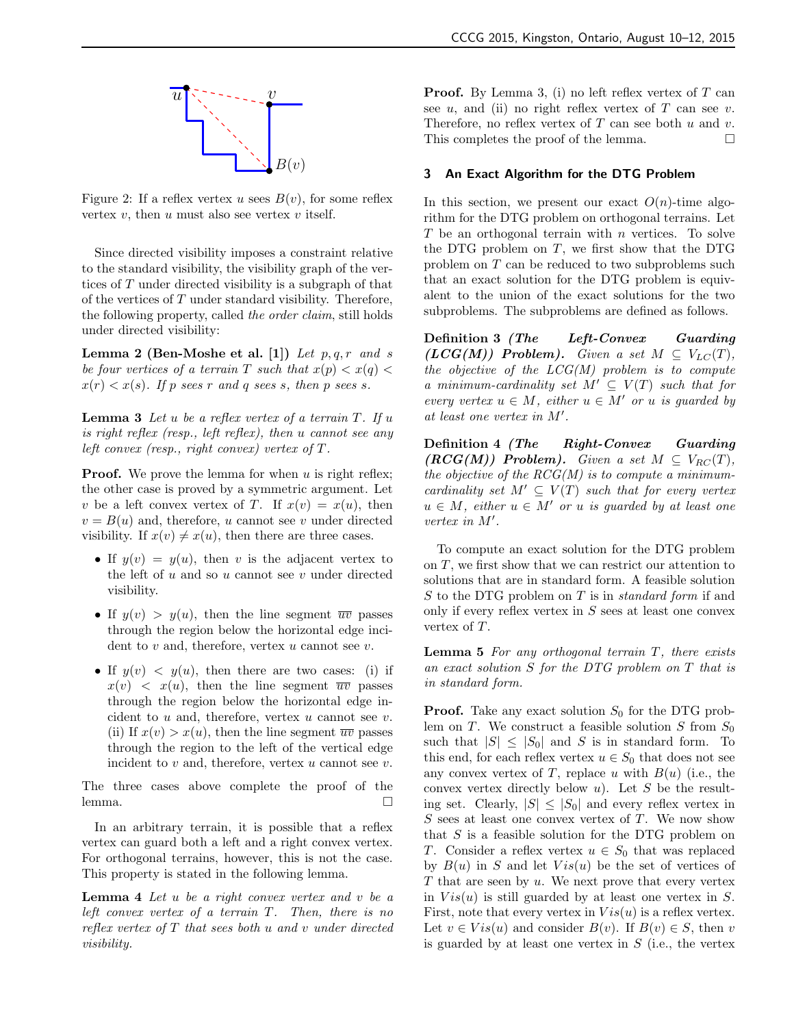

Figure 2: If a reflex vertex u sees  $B(v)$ , for some reflex vertex  $v$ , then  $u$  must also see vertex  $v$  itself.

Since directed visibility imposes a constraint relative to the standard visibility, the visibility graph of the vertices of T under directed visibility is a subgraph of that of the vertices of  $T$  under standard visibility. Therefore, the following property, called the order claim, still holds under directed visibility:

**Lemma 2 (Ben-Moshe et al. [1])** Let  $p, q, r$  and s be four vertices of a terrain T such that  $x(p) < x(q)$  $x(r) < x(s)$ . If p sees r and q sees s, then p sees s.

**Lemma 3** Let u be a reflex vertex of a terrain  $T$ . If u is right reflex (resp., left reflex), then u cannot see any left convex (resp., right convex) vertex of  $T$ .

**Proof.** We prove the lemma for when  $u$  is right reflex; the other case is proved by a symmetric argument. Let v be a left convex vertex of T. If  $x(v) = x(u)$ , then  $v = B(u)$  and, therefore, u cannot see v under directed visibility. If  $x(v) \neq x(u)$ , then there are three cases.

- If  $y(v) = y(u)$ , then v is the adjacent vertex to the left of  $u$  and so  $u$  cannot see  $v$  under directed visibility.
- If  $y(v) > y(u)$ , then the line segment  $\overline{uv}$  passes through the region below the horizontal edge incident to  $v$  and, therefore, vertex  $u$  cannot see  $v$ .
- If  $y(v) \leq y(u)$ , then there are two cases: (i) if  $x(v)$  <  $x(u)$ , then the line segment  $\overline{uv}$  passes through the region below the horizontal edge incident to  $u$  and, therefore, vertex  $u$  cannot see  $v$ . (ii) If  $x(v) > x(u)$ , then the line segment  $\overline{uv}$  passes through the region to the left of the vertical edge incident to  $v$  and, therefore, vertex  $u$  cannot see  $v$ .

The three cases above complete the proof of the lemma. □

In an arbitrary terrain, it is possible that a reflex vertex can guard both a left and a right convex vertex. For orthogonal terrains, however, this is not the case. This property is stated in the following lemma.

**Lemma 4** Let  $u$  be a right convex vertex and  $v$  be a left convex vertex of a terrain T. Then, there is no reflex vertex of  $T$  that sees both  $u$  and  $v$  under directed visibility.

**Proof.** By Lemma 3, (i) no left reflex vertex of  $T$  can see  $u$ , and (ii) no right reflex vertex of T can see  $v$ . Therefore, no reflex vertex of  $T$  can see both  $u$  and  $v$ . This completes the proof of the lemma.

# 3 An Exact Algorithm for the DTG Problem

In this section, we present our exact  $O(n)$ -time algorithm for the DTG problem on orthogonal terrains. Let  $T$  be an orthogonal terrain with  $n$  vertices. To solve the DTG problem on  $T$ , we first show that the DTG problem on T can be reduced to two subproblems such that an exact solution for the DTG problem is equivalent to the union of the exact solutions for the two subproblems. The subproblems are defined as follows.

Definition 3 (The Left-Convex Guarding  $(LCG(M))$  Problem). Given a set  $M \subseteq V_{LC}(T)$ , the objective of the  $LCG(M)$  problem is to compute a minimum-cardinality set  $M' \subseteq V(T)$  such that for every vertex  $u \in M$ , either  $u \in M'$  or u is guarded by at least one vertex in  $M'$ .

Definition 4 (The Right-Convex Guarding  $(RCG(M))$  Problem). Given a set  $M \subseteq V_{RC}(T)$ , the objective of the  $RCG(M)$  is to compute a minimumcardinality set  $M' \subseteq V(T)$  such that for every vertex  $u \in M$ , either  $u \in M'$  or u is guarded by at least one vertex in  $M'$ .

To compute an exact solution for the DTG problem on T, we first show that we can restrict our attention to solutions that are in standard form. A feasible solution S to the DTG problem on T is in *standard form* if and only if every reflex vertex in  $S$  sees at least one convex vertex of T.

**Lemma 5** For any orthogonal terrain  $T$ , there exists an exact solution S for the DTG problem on T that is in standard form.

**Proof.** Take any exact solution  $S_0$  for the DTG problem on T. We construct a feasible solution S from  $S_0$ such that  $|S| \leq |S_0|$  and S is in standard form. To this end, for each reflex vertex  $u \in S_0$  that does not see any convex vertex of T, replace u with  $B(u)$  (i.e., the convex vertex directly below  $u$ ). Let S be the resulting set. Clearly,  $|S| \leq |S_0|$  and every reflex vertex in  $S$  sees at least one convex vertex of  $T$ . We now show that  $S$  is a feasible solution for the DTG problem on T. Consider a reflex vertex  $u \in S_0$  that was replaced by  $B(u)$  in S and let  $Vis(u)$  be the set of vertices of  $T$  that are seen by  $u$ . We next prove that every vertex in  $Vis(u)$  is still guarded by at least one vertex in S. First, note that every vertex in  $Vis(u)$  is a reflex vertex. Let  $v \in Vis(u)$  and consider  $B(v)$ . If  $B(v) \in S$ , then v is guarded by at least one vertex in  $S$  (i.e., the vertex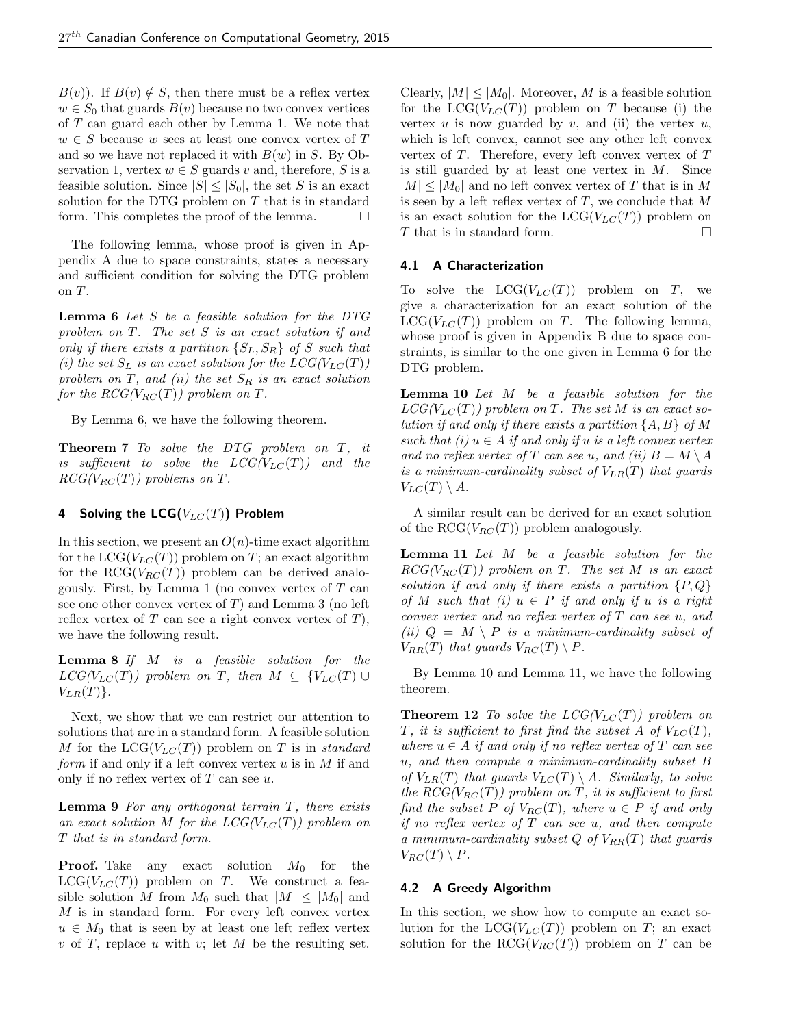$B(v)$ . If  $B(v) \notin S$ , then there must be a reflex vertex  $w \in S_0$  that guards  $B(v)$  because no two convex vertices of  $T$  can guard each other by Lemma 1. We note that  $w \in S$  because w sees at least one convex vertex of T and so we have not replaced it with  $B(w)$  in S. By Observation 1, vertex  $w \in S$  guards v and, therefore, S is a feasible solution. Since  $|S| \leq |S_0|$ , the set S is an exact solution for the DTG problem on T that is in standard form. This completes the proof of the lemma.  $\Box$ 

The following lemma, whose proof is given in Appendix A due to space constraints, states a necessary and sufficient condition for solving the DTG problem on T.

**Lemma 6** Let S be a feasible solution for the DTG problem on T. The set S is an exact solution if and only if there exists a partition  $\{S_L, S_R\}$  of S such that (i) the set  $S_L$  is an exact solution for the  $LCG(V_{LC}(T))$ problem on  $T$ , and (ii) the set  $S_R$  is an exact solution for the  $RCG(V_{RC}(T))$  problem on T.

By Lemma 6, we have the following theorem.

Theorem 7 To solve the DTG problem on T, it is sufficient to solve the  $LCG(V_{LC}(T))$  and the  $RCG(V_{RC}(T))$  problems on T.

## 4 Solving the LCG( $V_{LC}(T)$ ) Problem

In this section, we present an  $O(n)$ -time exact algorithm for the  $LCG(V_{LC}(T))$  problem on T; an exact algorithm for the RCG( $V_{RC}(T)$ ) problem can be derived analogously. First, by Lemma 1 (no convex vertex of  $T$  can see one other convex vertex of  $T$ ) and Lemma 3 (no left reflex vertex of  $T$  can see a right convex vertex of  $T$ ), we have the following result.

**Lemma 8** If  $M$  is a feasible solution for the  $LCG(V_{LC}(T))$  problem on T, then  $M \subseteq \{V_{LC}(T) \cup$  $V_{LR}(T)$ .

Next, we show that we can restrict our attention to solutions that are in a standard form. A feasible solution M for the  $LCG(V_{LC}(T))$  problem on T is in standard form if and only if a left convex vertex  $u$  is in  $M$  if and only if no reflex vertex of  $T$  can see  $u$ .

**Lemma 9** For any orthogonal terrain  $T$ , there exists an exact solution M for the  $LCG(V_{LC}(T))$  problem on T that is in standard form.

**Proof.** Take any exact solution  $M_0$  for the  $LCG(V_{LC}(T))$  problem on T. We construct a feasible solution M from  $M_0$  such that  $|M| \leq |M_0|$  and  $M$  is in standard form. For every left convex vertex  $u \in M_0$  that is seen by at least one left reflex vertex  $v$  of  $T$ , replace  $u$  with  $v$ ; let  $M$  be the resulting set. Clearly,  $|M| \leq |M_0|$ . Moreover, M is a feasible solution for the  $LCG(V_{LC}(T))$  problem on T because (i) the vertex  $u$  is now guarded by  $v$ , and (ii) the vertex  $u$ , which is left convex, cannot see any other left convex vertex of  $T$ . Therefore, every left convex vertex of  $T$ is still guarded by at least one vertex in  $M$ . Since  $|M| \leq |M_0|$  and no left convex vertex of T that is in M is seen by a left reflex vertex of  $T$ , we conclude that  $M$ is an exact solution for the  $LCG(V_{LC}(T))$  problem on T that is in standard form.

#### 4.1 A Characterization

To solve the  $LCG(V_{LC}(T))$  problem on T, we give a characterization for an exact solution of the  $LCG(V_{LC}(T))$  problem on T. The following lemma, whose proof is given in Appendix B due to space constraints, is similar to the one given in Lemma 6 for the DTG problem.

Lemma 10 Let M be a feasible solution for the  $LCG(V_{LC}(T))$  problem on T. The set M is an exact solution if and only if there exists a partition  $\{A, B\}$  of M such that (i)  $u \in A$  if and only if u is a left convex vertex and no reflex vertex of T can see u, and (ii)  $B = M \setminus A$ is a minimum-cardinality subset of  $V_{LR}(T)$  that guards  $V_{LC}(T) \setminus A$ .

A similar result can be derived for an exact solution of the RCG( $V_{RC}(T)$ ) problem analogously.

**Lemma 11** Let  $M$  be a feasible solution for the  $RCG(V_{RC}(T))$  problem on T. The set M is an exact solution if and only if there exists a partition  $\{P, Q\}$ of M such that (i)  $u \in P$  if and only if u is a right convex vertex and no reflex vertex of T can see u, and (ii)  $Q = M \setminus P$  is a minimum-cardinality subset of  $V_{RR}(T)$  that guards  $V_{RC}(T) \setminus P$ .

By Lemma 10 and Lemma 11, we have the following theorem.

**Theorem 12** To solve the  $LCG(V_{LC}(T))$  problem on T, it is sufficient to first find the subset A of  $V_{LC}(T)$ , where  $u \in A$  if and only if no reflex vertex of T can see u, and then compute a minimum-cardinality subset B of  $V_{LR}(T)$  that guards  $V_{LC}(T) \setminus A$ . Similarly, to solve the  $RCG(V_{RC}(T))$  problem on T, it is sufficient to first find the subset P of  $V_{RC}(T)$ , where  $u \in P$  if and only if no reflex vertex of  $T$  can see  $u$ , and then compute a minimum-cardinality subset  $Q$  of  $V_{RR}(T)$  that guards  $V_{RC}(T) \setminus P$ .

#### 4.2 A Greedy Algorithm

In this section, we show how to compute an exact solution for the  $LCG(V_{LC}(T))$  problem on T; an exact solution for the RCG( $V_{RC}(T)$ ) problem on T can be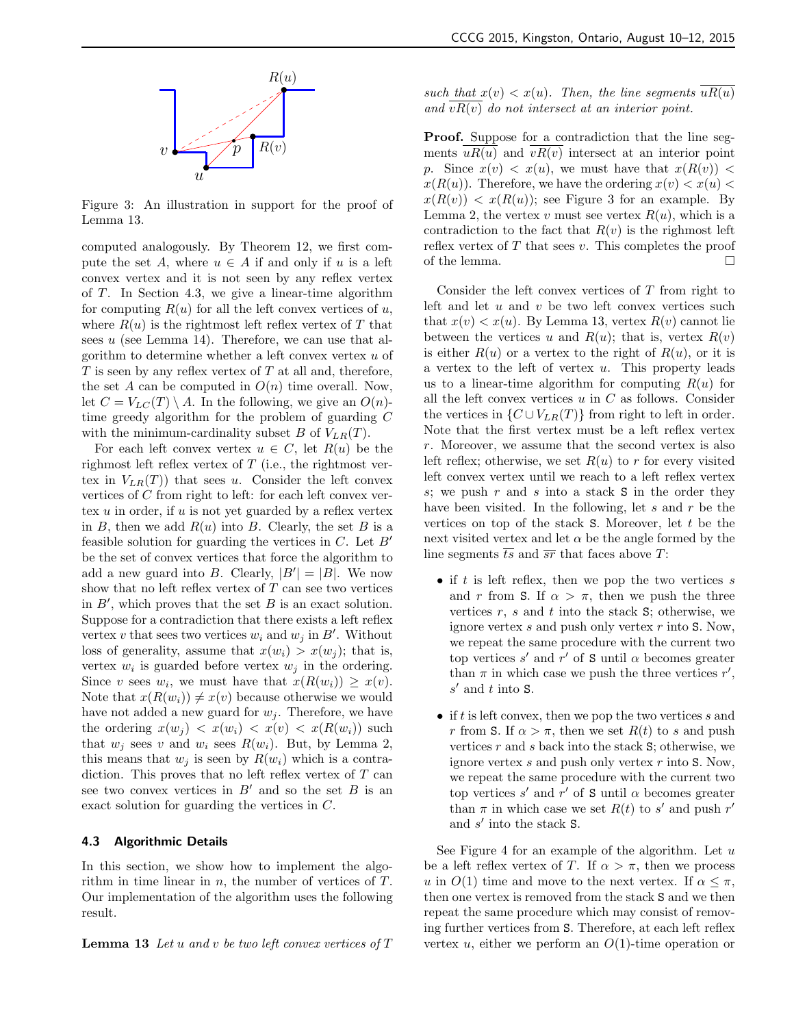

Figure 3: An illustration in support for the proof of Lemma 13.

computed analogously. By Theorem 12, we first compute the set A, where  $u \in A$  if and only if u is a left convex vertex and it is not seen by any reflex vertex of T. In Section 4.3, we give a linear-time algorithm for computing  $R(u)$  for all the left convex vertices of u, where  $R(u)$  is the rightmost left reflex vertex of T that sees  $u$  (see Lemma 14). Therefore, we can use that algorithm to determine whether a left convex vertex u of  $T$  is seen by any reflex vertex of  $T$  at all and, therefore, the set A can be computed in  $O(n)$  time overall. Now, let  $C = V_{LC}(T) \setminus A$ . In the following, we give an  $O(n)$ time greedy algorithm for the problem of guarding C with the minimum-cardinality subset B of  $V_{LR}(T)$ .

For each left convex vertex  $u \in C$ , let  $R(u)$  be the righmost left reflex vertex of  $T$  (i.e., the rightmost vertex in  $V_{LR}(T)$  that sees u. Consider the left convex vertices of C from right to left: for each left convex vertex  $u$  in order, if  $u$  is not yet guarded by a reflex vertex in B, then we add  $R(u)$  into B. Clearly, the set B is a feasible solution for guarding the vertices in  $C$ . Let  $B'$ be the set of convex vertices that force the algorithm to add a new guard into B. Clearly,  $|B'| = |B|$ . We now show that no left reflex vertex of  $T$  can see two vertices in  $B'$ , which proves that the set  $B$  is an exact solution. Suppose for a contradiction that there exists a left reflex vertex v that sees two vertices  $w_i$  and  $w_j$  in  $B'$ . Without loss of generality, assume that  $x(w_i) > x(w_j)$ ; that is, vertex  $w_i$  is guarded before vertex  $w_j$  in the ordering. Since v sees  $w_i$ , we must have that  $x(R(w_i)) \geq x(v)$ . Note that  $x(R(w_i)) \neq x(v)$  because otherwise we would have not added a new guard for  $w_j$ . Therefore, we have the ordering  $x(w_i) < x(w_i) < x(v) < x(R(w_i))$  such that  $w_i$  sees v and  $w_i$  sees  $R(w_i)$ . But, by Lemma 2, this means that  $w_i$  is seen by  $R(w_i)$  which is a contradiction. This proves that no left reflex vertex of T can see two convex vertices in  $B'$  and so the set B is an exact solution for guarding the vertices in C.

## 4.3 Algorithmic Details

In this section, we show how to implement the algorithm in time linear in  $n$ , the number of vertices of  $T$ . Our implementation of the algorithm uses the following result.

**Lemma 13** Let u and v be two left convex vertices of  $T$ 

such that  $x(v) < x(u)$ . Then, the line segments  $uR(u)$ and  $vR(v)$  do not intersect at an interior point.

Proof. Suppose for a contradiction that the line segments  $uR(u)$  and  $vR(v)$  intersect at an interior point p. Since  $x(v) < x(u)$ , we must have that  $x(R(v)) <$  $x(R(u))$ . Therefore, we have the ordering  $x(v) < x(u)$  $x(R(v)) < x(R(u))$ ; see Figure 3 for an example. By Lemma 2, the vertex v must see vertex  $R(u)$ , which is a contradiction to the fact that  $R(v)$  is the righmost left reflex vertex of  $T$  that sees  $v$ . This completes the proof of the lemma.  $\Box$ 

Consider the left convex vertices of T from right to left and let  $u$  and  $v$  be two left convex vertices such that  $x(v) < x(u)$ . By Lemma 13, vertex  $R(v)$  cannot lie between the vertices u and  $R(u)$ ; that is, vertex  $R(v)$ is either  $R(u)$  or a vertex to the right of  $R(u)$ , or it is a vertex to the left of vertex  $u$ . This property leads us to a linear-time algorithm for computing  $R(u)$  for all the left convex vertices  $u$  in  $C$  as follows. Consider the vertices in  $\{C \cup V_{LR}(T)\}\$  from right to left in order. Note that the first vertex must be a left reflex vertex r. Moreover, we assume that the second vertex is also left reflex; otherwise, we set  $R(u)$  to r for every visited left convex vertex until we reach to a left reflex vertex s; we push  $r$  and  $s$  into a stack  $S$  in the order they have been visited. In the following, let  $s$  and  $r$  be the vertices on top of the stack  $S$ . Moreover, let t be the next visited vertex and let  $\alpha$  be the angle formed by the line segments  $\overline{ts}$  and  $\overline{sr}$  that faces above T:

- if  $t$  is left reflex, then we pop the two vertices  $s$ and r from S. If  $\alpha > \pi$ , then we push the three vertices  $r$ ,  $s$  and  $t$  into the stack  $\mathbf{S}$ ; otherwise, we ignore vertex  $s$  and push only vertex  $r$  into  $S$ . Now, we repeat the same procedure with the current two top vertices  $s'$  and  $r'$  of S until  $\alpha$  becomes greater than  $\pi$  in which case we push the three vertices  $r'$ ,  $s'$  and  $t$  into  $S$ .
- if t is left convex, then we pop the two vertices s and r from S. If  $\alpha > \pi$ , then we set  $R(t)$  to s and push vertices  $r$  and  $s$  back into the stack  $S$ ; otherwise, we ignore vertex  $s$  and push only vertex  $r$  into  $S$ . Now, we repeat the same procedure with the current two top vertices  $s'$  and  $r'$  of S until  $\alpha$  becomes greater than  $\pi$  in which case we set  $R(t)$  to s' and push r' and  $s'$  into the stack  $S$ .

See Figure 4 for an example of the algorithm. Let  $u$ be a left reflex vertex of T. If  $\alpha > \pi$ , then we process u in  $O(1)$  time and move to the next vertex. If  $\alpha \leq \pi$ , then one vertex is removed from the stack S and we then repeat the same procedure which may consist of removing further vertices from S. Therefore, at each left reflex vertex u, either we perform an  $O(1)$ -time operation or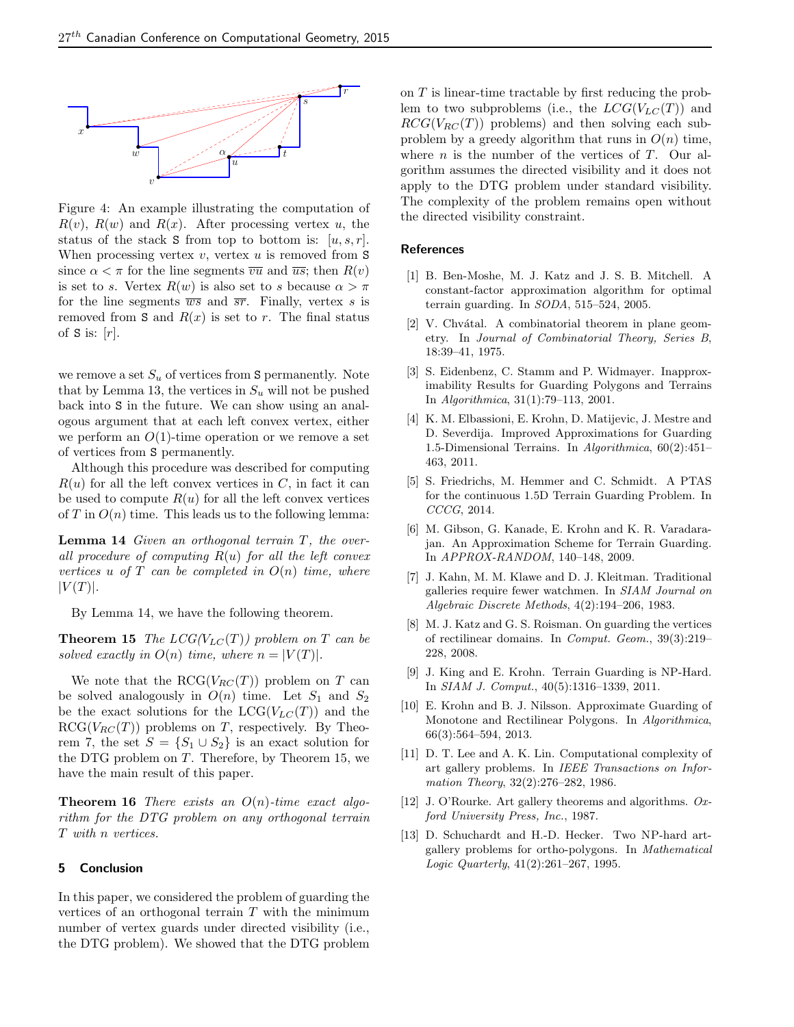

Figure 4: An example illustrating the computation of  $R(v)$ ,  $R(w)$  and  $R(x)$ . After processing vertex u, the status of the stack S from top to bottom is:  $[u, s, r]$ . When processing vertex  $v$ , vertex  $u$  is removed from  $S$ since  $\alpha < \pi$  for the line segments  $\overline{vu}$  and  $\overline{us}$ ; then  $R(v)$ is set to s. Vertex  $R(w)$  is also set to s because  $\alpha > \pi$ for the line segments  $\overline{ws}$  and  $\overline{sr}$ . Finally, vertex s is removed from S and  $R(x)$  is set to r. The final status of  $S$  is:  $[r]$ .

we remove a set  $S_u$  of vertices from S permanently. Note that by Lemma 13, the vertices in  $S_u$  will not be pushed back into S in the future. We can show using an analogous argument that at each left convex vertex, either we perform an  $O(1)$ -time operation or we remove a set of vertices from S permanently.

Although this procedure was described for computing  $R(u)$  for all the left convex vertices in C, in fact it can be used to compute  $R(u)$  for all the left convex vertices of  $T$  in  $O(n)$  time. This leads us to the following lemma:

**Lemma 14** Given an orthogonal terrain  $T$ , the overall procedure of computing  $R(u)$  for all the left convex vertices u of  $T$  can be completed in  $O(n)$  time, where  $|V(T)|$ .

By Lemma 14, we have the following theorem.

**Theorem 15** The  $LCG(V_{LC}(T))$  problem on T can be solved exactly in  $O(n)$  time, where  $n = |V(T)|$ .

We note that the  $RCG(V_{RC}(T))$  problem on T can be solved analogously in  $O(n)$  time. Let  $S_1$  and  $S_2$ be the exact solutions for the  $LCG(V_{LC}(T))$  and the  $RCG(V_{RC}(T))$  problems on T, respectively. By Theorem 7, the set  $S = \{S_1 \cup S_2\}$  is an exact solution for the DTG problem on  $T$ . Therefore, by Theorem 15, we have the main result of this paper.

**Theorem 16** There exists an  $O(n)$ -time exact algorithm for the DTG problem on any orthogonal terrain T with n vertices.

# 5 Conclusion

In this paper, we considered the problem of guarding the vertices of an orthogonal terrain  $T$  with the minimum number of vertex guards under directed visibility (i.e., the DTG problem). We showed that the DTG problem on T is linear-time tractable by first reducing the problem to two subproblems (i.e., the  $LCG(V_{LC}(T))$  and  $RCG(V_{RC}(T))$  problems) and then solving each subproblem by a greedy algorithm that runs in  $O(n)$  time, where  $n$  is the number of the vertices of  $T$ . Our algorithm assumes the directed visibility and it does not apply to the DTG problem under standard visibility. The complexity of the problem remains open without the directed visibility constraint.

# **References**

- [1] B. Ben-Moshe, M. J. Katz and J. S. B. Mitchell. A constant-factor approximation algorithm for optimal terrain guarding. In  $SODA$ , 515–524, 2005.
- $[2]$  V. Chvátal. A combinatorial theorem in plane geometry. In Journal of Combinatorial Theory, Series B, 18:39–41, 1975.
- [3] S. Eidenbenz, C. Stamm and P. Widmayer. Inapproximability Results for Guarding Polygons and Terrains In Algorithmica, 31(1):79–113, 2001.
- [4] K. M. Elbassioni, E. Krohn, D. Matijevic, J. Mestre and D. Severdija. Improved Approximations for Guarding 1.5-Dimensional Terrains. In Algorithmica, 60(2):451– 463, 2011.
- [5] S. Friedrichs, M. Hemmer and C. Schmidt. A PTAS for the continuous 1.5D Terrain Guarding Problem. In CCCG, 2014.
- [6] M. Gibson, G. Kanade, E. Krohn and K. R. Varadarajan. An Approximation Scheme for Terrain Guarding. In APPROX-RANDOM, 140–148, 2009.
- [7] J. Kahn, M. M. Klawe and D. J. Kleitman. Traditional galleries require fewer watchmen. In SIAM Journal on Algebraic Discrete Methods, 4(2):194–206, 1983.
- [8] M. J. Katz and G. S. Roisman. On guarding the vertices of rectilinear domains. In Comput. Geom., 39(3):219– 228, 2008.
- [9] J. King and E. Krohn. Terrain Guarding is NP-Hard. In SIAM J. Comput., 40(5):1316–1339, 2011.
- [10] E. Krohn and B. J. Nilsson. Approximate Guarding of Monotone and Rectilinear Polygons. In Algorithmica, 66(3):564–594, 2013.
- [11] D. T. Lee and A. K. Lin. Computational complexity of art gallery problems. In IEEE Transactions on Information Theory, 32(2):276–282, 1986.
- [12] J. O'Rourke. Art gallery theorems and algorithms. Oxford University Press, Inc., 1987.
- [13] D. Schuchardt and H.-D. Hecker. Two NP-hard artgallery problems for ortho-polygons. In Mathematical Logic Quarterly, 41(2):261–267, 1995.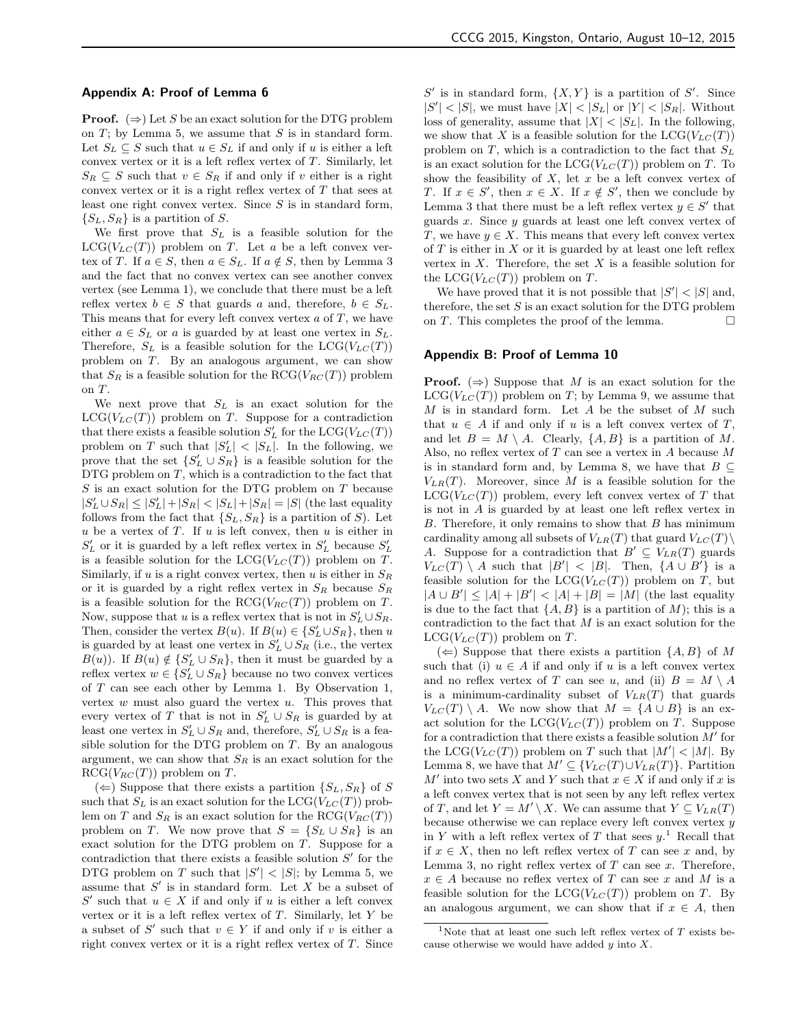## Appendix A: Proof of Lemma 6

**Proof.**  $(\Rightarrow)$  Let S be an exact solution for the DTG problem on  $T$ ; by Lemma 5, we assume that  $S$  is in standard form. Let  $S_L \subseteq S$  such that  $u \in S_L$  if and only if u is either a left convex vertex or it is a left reflex vertex of  $T$ . Similarly, let  $S_R \subseteq S$  such that  $v \in S_R$  if and only if v either is a right convex vertex or it is a right reflex vertex of  $T$  that sees at least one right convex vertex. Since  $S$  is in standard form,  $\{S_L, S_R\}$  is a partition of S.

We first prove that  $S_L$  is a feasible solution for the  $LCG(V_{LC}(T))$  problem on T. Let a be a left convex vertex of T. If  $a \in S$ , then  $a \in S_L$ . If  $a \notin S$ , then by Lemma 3 and the fact that no convex vertex can see another convex vertex (see Lemma 1), we conclude that there must be a left reflex vertex  $b \in S$  that guards a and, therefore,  $b \in S_L$ . This means that for every left convex vertex  $a$  of  $T$ , we have either  $a \in S_L$  or a is guarded by at least one vertex in  $S_L$ . Therefore,  $S_L$  is a feasible solution for the  $LCG(V_{LC}(T))$ problem on T. By an analogous argument, we can show that  $S_R$  is a feasible solution for the RCG( $V_{RC}(T)$ ) problem on T.

We next prove that  $S_L$  is an exact solution for the  $LCG(V_{LC}(T))$  problem on T. Suppose for a contradiction that there exists a feasible solution  $S'_{L}$  for the  $LCG(V_{LC}(T))$ problem on T such that  $|S'_L| < |S_L|$ . In the following, we prove that the set  $\{S'_{L} \cup S_{R}\}\)$  is a feasible solution for the DTG problem on  $T$ , which is a contradiction to the fact that S is an exact solution for the DTG problem on T because  $|S'_{L} \cup S_{R}| \leq |S'_{L}| + |S_{R}| < |S_{L}| + |S_{R}| = |S|$  (the last equality follows from the fact that  $\{S_L, S_R\}$  is a partition of S). Let  $u$  be a vertex of  $T$ . If  $u$  is left convex, then  $u$  is either in  $S_{L}^{\prime}$  or it is guarded by a left reflex vertex in  $S_{L}^{\prime}$  because  $S_{L}^{\prime}$ is a feasible solution for the  $LCG(V_{LC}(T))$  problem on T. Similarly, if u is a right convex vertex, then u is either in  $S_R$ or it is guarded by a right reflex vertex in  $S_R$  because  $S_R$ is a feasible solution for the  $RCG(V_{RC}(T))$  problem on T. Now, suppose that u is a reflex vertex that is not in  $S'_{L} \cup S_{R}$ . Then, consider the vertex  $B(u)$ . If  $B(u) \in \{S'_L \cup S_R\}$ , then u is guarded by at least one vertex in  $S'_{L} \cup S_{R}$  (i.e., the vertex  $B(u)$ ). If  $B(u) \notin \{S'_L \cup S_R\}$ , then it must be guarded by a reflex vertex  $w \in \{S'_L \cup S_R\}$  because no two convex vertices of  $T$  can see each other by Lemma 1. By Observation 1, vertex  $w$  must also guard the vertex  $u$ . This proves that every vertex of T that is not in  $S'_{L} \cup S_{R}$  is guarded by at least one vertex in  $S'_{L} \cup S_{R}$  and, therefore,  $S'_{L} \cup S_{R}$  is a feasible solution for the DTG problem on  $T$ . By an analogous argument, we can show that  $S_R$  is an exact solution for the  $RCG(V_{RC}(T))$  problem on T.

 $(\Leftarrow)$  Suppose that there exists a partition  $\{S_L, S_R\}$  of S such that  $S_L$  is an exact solution for the  $LCG(V_{LC}(T))$  problem on T and  $S_R$  is an exact solution for the RCG( $V_{RC}(T)$ ) problem on T. We now prove that  $S = \{S_L \cup S_R\}$  is an exact solution for the DTG problem on T. Suppose for a contradiction that there exists a feasible solution  $S'$  for the DTG problem on T such that  $|S'| < |S|$ ; by Lemma 5, we assume that  $S'$  is in standard form. Let X be a subset of S' such that  $u \in X$  if and only if u is either a left convex vertex or it is a left reflex vertex of  $T$ . Similarly, let  $Y$  be a subset of S' such that  $v \in Y$  if and only if v is either a right convex vertex or it is a right reflex vertex of  $T$ . Since

 $S'$  is in standard form,  $\{X, Y\}$  is a partition of  $S'$ . Since  $|S'| < |S|$ , we must have  $|X| < |S_L|$  or  $|Y| < |S_R|$ . Without loss of generality, assume that  $|X| < |S_L|$ . In the following, we show that X is a feasible solution for the  $LCG(V_{LC}(T))$ problem on  $T$ , which is a contradiction to the fact that  $S_L$ is an exact solution for the  $LCG(V_{LC}(T))$  problem on T. To show the feasibility of  $X$ , let  $x$  be a left convex vertex of T. If  $x \in S'$ , then  $x \in X$ . If  $x \notin S'$ , then we conclude by Lemma 3 that there must be a left reflex vertex  $y \in S'$  that guards  $x$ . Since  $y$  guards at least one left convex vertex of T, we have  $y \in X$ . This means that every left convex vertex of  $T$  is either in  $X$  or it is guarded by at least one left reflex vertex in  $X$ . Therefore, the set  $X$  is a feasible solution for the  $LCG(V_{LC}(T))$  problem on T.

We have proved that it is not possible that  $|S'| < |S|$  and, therefore, the set  $S$  is an exact solution for the DTG problem on T. This completes the proof of the lemma.  $\Box$ 

## Appendix B: Proof of Lemma 10

**Proof.** ( $\Rightarrow$ ) Suppose that M is an exact solution for the  $LCG(V_{LC}(T))$  problem on T; by Lemma 9, we assume that  $M$  is in standard form. Let  $A$  be the subset of  $M$  such that  $u \in A$  if and only if u is a left convex vertex of T, and let  $B = M \setminus A$ . Clearly,  $\{A, B\}$  is a partition of M. Also, no reflex vertex of  $T$  can see a vertex in  $A$  because  $M$ is in standard form and, by Lemma 8, we have that  $B \subseteq$  $V_{LR}(T)$ . Moreover, since M is a feasible solution for the  $LCG(V_{LC}(T))$  problem, every left convex vertex of T that is not in A is guarded by at least one left reflex vertex in  $B$ . Therefore, it only remains to show that  $B$  has minimum cardinality among all subsets of  $V_{LR}(T)$  that guard  $V_{LC}(T)\setminus$ A. Suppose for a contradiction that  $B' \subseteq V_{LR}(T)$  guards  $V_{LC}(T) \setminus A$  such that  $|B'| < |B|$ . Then,  $\{A \cup B'\}$  is a feasible solution for the  $LCG(V_{LC}(T))$  problem on T, but  $|A \cup B'| \leq |A| + |B'| < |A| + |B| = |M|$  (the last equality is due to the fact that  $\{A, B\}$  is a partition of M); this is a contradiction to the fact that  $M$  is an exact solution for the  $LCG(V_{LC}(T))$  problem on T.

 $(\Leftarrow)$  Suppose that there exists a partition  $\{A, B\}$  of M such that (i)  $u \in A$  if and only if u is a left convex vertex and no reflex vertex of T can see u, and (ii)  $B = M \setminus A$ is a minimum-cardinality subset of  $V_{LR}(T)$  that guards  $V_{LC}(T) \setminus A$ . We now show that  $M = \{A \cup B\}$  is an exact solution for the  $LCG(V_{LC}(T))$  problem on T. Suppose for a contradiction that there exists a feasible solution  $M'$  for the LCG( $V_{LC}(T)$ ) problem on T such that  $|M'| < |M|$ . By Lemma 8, we have that  $M' \subseteq \{V_{LC}(T) \cup V_{LR}(T)\}\.$  Partition M' into two sets X and Y such that  $x \in X$  if and only if x is a left convex vertex that is not seen by any left reflex vertex of T, and let  $Y = M' \setminus X$ . We can assume that  $Y \subseteq V_{LR}(T)$ because otherwise we can replace every left convex vertex  $y$ in Y with a left reflex vertex of T that sees  $y$ <sup>1</sup>. Recall that if  $x \in X$ , then no left reflex vertex of T can see x and, by Lemma 3, no right reflex vertex of  $T$  can see  $x$ . Therefore,  $x \in A$  because no reflex vertex of T can see x and M is a feasible solution for the  $LCG(V_{LC}(T))$  problem on T. By an analogous argument, we can show that if  $x \in A$ , then

<sup>&</sup>lt;sup>1</sup>Note that at least one such left reflex vertex of  $T$  exists because otherwise we would have added  $y$  into  $X$ .